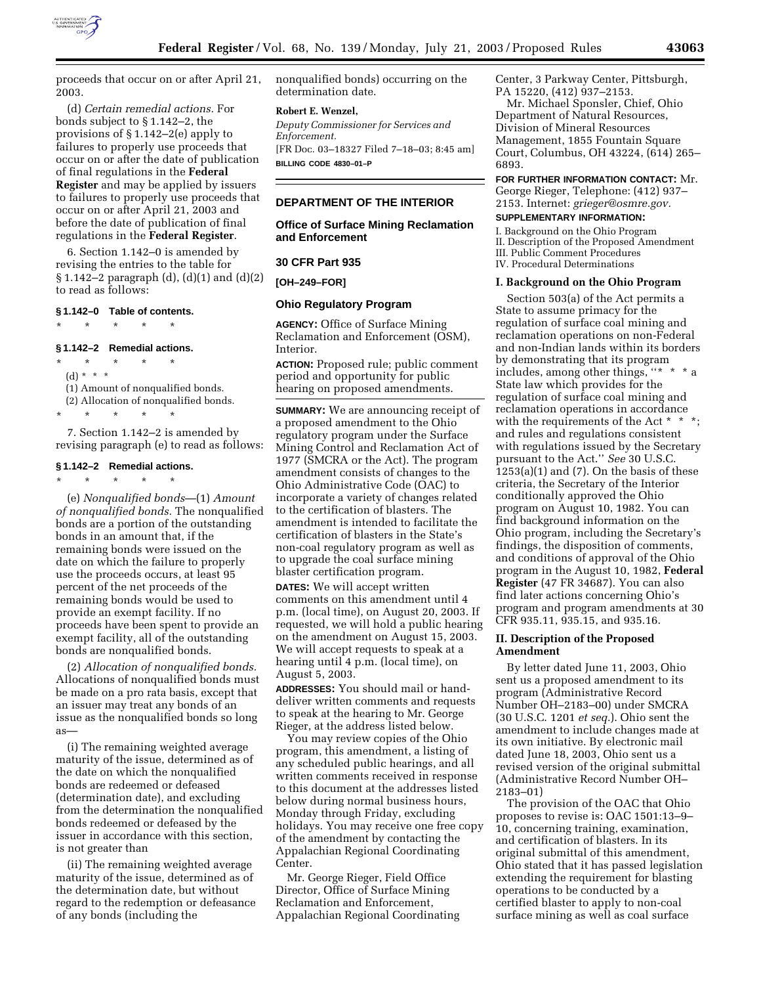

proceeds that occur on or after April 21, 2003.

(d) *Certain remedial actions.* For bonds subject to § 1.142–2, the provisions of § 1.142–2(e) apply to failures to properly use proceeds that occur on or after the date of publication of final regulations in the **Federal Register** and may be applied by issuers to failures to properly use proceeds that occur on or after April 21, 2003 and before the date of publication of final regulations in the **Federal Register**.

6. Section 1.142–0 is amended by revising the entries to the table for § 1.142–2 paragraph (d), (d)(1) and (d)(2) to read as follows:

#### **§ 1.142–0 Table of contents.**

\* \* \* \* \*

# **§ 1.142–2 Remedial actions.**

\* \* \* \* \*

(d) \* \* \*

(1) Amount of nonqualified bonds.

(2) Allocation of nonqualified bonds.

7. Section 1.142–2 is amended by revising paragraph (e) to read as follows:

#### **§ 1.142–2 Remedial actions.**

\* \* \* \* \*

\* \* \* \* \*

(e) *Nonqualified bonds*—(1) *Amount of nonqualified bonds.* The nonqualified bonds are a portion of the outstanding bonds in an amount that, if the remaining bonds were issued on the date on which the failure to properly use the proceeds occurs, at least 95 percent of the net proceeds of the remaining bonds would be used to provide an exempt facility. If no proceeds have been spent to provide an exempt facility, all of the outstanding bonds are nonqualified bonds.

(2) *Allocation of nonqualified bonds.* Allocations of nonqualified bonds must be made on a pro rata basis, except that an issuer may treat any bonds of an issue as the nonqualified bonds so long as—

(i) The remaining weighted average maturity of the issue, determined as of the date on which the nonqualified bonds are redeemed or defeased (determination date), and excluding from the determination the nonqualified bonds redeemed or defeased by the issuer in accordance with this section, is not greater than

(ii) The remaining weighted average maturity of the issue, determined as of the determination date, but without regard to the redemption or defeasance of any bonds (including the

nonqualified bonds) occurring on the determination date.

### **Robert E. Wenzel,**

*Deputy Commissioner for Services and Enforcement.* [FR Doc. 03–18327 Filed 7–18–03; 8:45 am]

**BILLING CODE 4830–01–P**

### **DEPARTMENT OF THE INTERIOR**

# **Office of Surface Mining Reclamation and Enforcement**

#### **30 CFR Part 935**

**[OH–249–FOR]** 

#### **Ohio Regulatory Program**

**AGENCY:** Office of Surface Mining Reclamation and Enforcement (OSM), Interior.

**ACTION:** Proposed rule; public comment period and opportunity for public hearing on proposed amendments.

**SUMMARY:** We are announcing receipt of a proposed amendment to the Ohio regulatory program under the Surface Mining Control and Reclamation Act of 1977 (SMCRA or the Act). The program amendment consists of changes to the Ohio Administrative Code (OAC) to incorporate a variety of changes related to the certification of blasters. The amendment is intended to facilitate the certification of blasters in the State's non-coal regulatory program as well as to upgrade the coal surface mining blaster certification program.

**DATES:** We will accept written comments on this amendment until 4 p.m. (local time), on August 20, 2003. If requested, we will hold a public hearing on the amendment on August 15, 2003. We will accept requests to speak at a hearing until 4 p.m. (local time), on August 5, 2003.

**ADDRESSES:** You should mail or handdeliver written comments and requests to speak at the hearing to Mr. George Rieger, at the address listed below.

You may review copies of the Ohio program, this amendment, a listing of any scheduled public hearings, and all written comments received in response to this document at the addresses listed below during normal business hours, Monday through Friday, excluding holidays. You may receive one free copy of the amendment by contacting the Appalachian Regional Coordinating Center.

Mr. George Rieger, Field Office Director, Office of Surface Mining Reclamation and Enforcement, Appalachian Regional Coordinating Center, 3 Parkway Center, Pittsburgh, PA 15220, (412) 937–2153.

Mr. Michael Sponsler, Chief, Ohio Department of Natural Resources, Division of Mineral Resources Management, 1855 Fountain Square Court, Columbus, OH 43224, (614) 265– 6893.

### **FOR FURTHER INFORMATION CONTACT:** Mr.

George Rieger, Telephone: (412) 937– 2153. Internet: *grieger@osmre.gov.*

## **SUPPLEMENTARY INFORMATION:**

I. Background on the Ohio Program II. Description of the Proposed Amendment III. Public Comment Procedures IV. Procedural Determinations

**I. Background on the Ohio Program** 

Section 503(a) of the Act permits a State to assume primacy for the regulation of surface coal mining and reclamation operations on non-Federal and non-Indian lands within its borders by demonstrating that its program includes, among other things, ''\* \* \* a State law which provides for the regulation of surface coal mining and reclamation operations in accordance with the requirements of the Act \* \* \*; and rules and regulations consistent with regulations issued by the Secretary pursuant to the Act.'' *See* 30 U.S.C.  $1253(a)(1)$  and  $(7)$ . On the basis of these criteria, the Secretary of the Interior conditionally approved the Ohio program on August 10, 1982. You can find background information on the Ohio program, including the Secretary's findings, the disposition of comments, and conditions of approval of the Ohio program in the August 10, 1982, **Federal Register** (47 FR 34687). You can also find later actions concerning Ohio's program and program amendments at 30 CFR 935.11, 935.15, and 935.16.

#### **II. Description of the Proposed Amendment**

By letter dated June 11, 2003, Ohio sent us a proposed amendment to its program (Administrative Record Number OH–2183–00) under SMCRA (30 U.S.C. 1201 *et seq.*). Ohio sent the amendment to include changes made at its own initiative. By electronic mail dated June 18, 2003, Ohio sent us a revised version of the original submittal (Administrative Record Number OH– 2183–01)

The provision of the OAC that Ohio proposes to revise is: OAC 1501:13–9– 10, concerning training, examination, and certification of blasters. In its original submittal of this amendment, Ohio stated that it has passed legislation extending the requirement for blasting operations to be conducted by a certified blaster to apply to non-coal surface mining as well as coal surface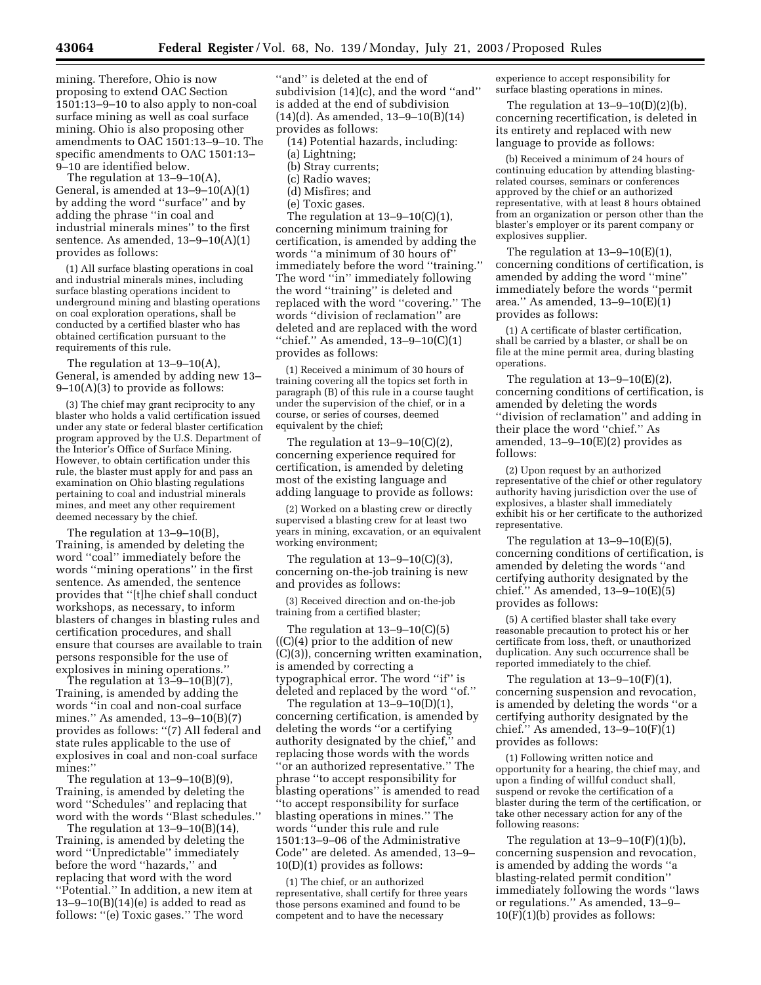mining. Therefore, Ohio is now proposing to extend OAC Section 1501:13–9–10 to also apply to non-coal surface mining as well as coal surface mining. Ohio is also proposing other amendments to OAC 1501:13–9–10. The specific amendments to OAC 1501:13– 9–10 are identified below.

The regulation at 13–9–10(A), General, is amended at  $13-9-10(A)(1)$ by adding the word ''surface'' and by adding the phrase ''in coal and industrial minerals mines'' to the first sentence. As amended,  $13-9-10(A)(1)$ provides as follows:

(1) All surface blasting operations in coal and industrial minerals mines, including surface blasting operations incident to underground mining and blasting operations on coal exploration operations, shall be conducted by a certified blaster who has obtained certification pursuant to the requirements of this rule.

The regulation at 13–9–10(A), General, is amended by adding new 13– 9–10(A)(3) to provide as follows:

(3) The chief may grant reciprocity to any blaster who holds a valid certification issued under any state or federal blaster certification program approved by the U.S. Department of the Interior's Office of Surface Mining. However, to obtain certification under this rule, the blaster must apply for and pass an examination on Ohio blasting regulations pertaining to coal and industrial minerals mines, and meet any other requirement deemed necessary by the chief.

The regulation at 13–9–10(B), Training, is amended by deleting the word ''coal'' immediately before the words ''mining operations'' in the first sentence. As amended, the sentence provides that ''[t]he chief shall conduct workshops, as necessary, to inform blasters of changes in blasting rules and certification procedures, and shall ensure that courses are available to train persons responsible for the use of explosives in mining operations.''

The regulation at 13–9–10(B)(7), Training, is amended by adding the words ''in coal and non-coal surface mines.'' As amended, 13–9–10(B)(7) provides as follows: ''(7) All federal and state rules applicable to the use of explosives in coal and non-coal surface mines:''

The regulation at 13–9–10(B)(9), Training, is amended by deleting the word ''Schedules'' and replacing that word with the words ''Blast schedules.''

The regulation at 13–9–10(B)(14), Training, is amended by deleting the word ''Unpredictable'' immediately before the word ''hazards,'' and replacing that word with the word ''Potential.'' In addition, a new item at  $13-9-10(B)(14)(e)$  is added to read as follows: ''(e) Toxic gases.'' The word

''and'' is deleted at the end of subdivision (14)(c), and the word ''and'' is added at the end of subdivision (14)(d). As amended, 13–9–10(B)(14) provides as follows:

(14) Potential hazards, including:

(a) Lightning;

- (b) Stray currents;
- (c) Radio waves;
- (d) Misfires; and
- (e) Toxic gases.

The regulation at  $13-9-10(C)(1)$ , concerning minimum training for certification, is amended by adding the words ''a minimum of 30 hours of'' immediately before the word ''training.'' The word ''in'' immediately following the word ''training'' is deleted and replaced with the word ''covering.'' The words ''division of reclamation'' are deleted and are replaced with the word "chief." As amended,  $13-9-10(C)(1)$ provides as follows:

(1) Received a minimum of 30 hours of training covering all the topics set forth in paragraph (B) of this rule in a course taught under the supervision of the chief, or in a course, or series of courses, deemed equivalent by the chief;

The regulation at 13–9–10(C)(2), concerning experience required for certification, is amended by deleting most of the existing language and adding language to provide as follows:

(2) Worked on a blasting crew or directly supervised a blasting crew for at least two years in mining, excavation, or an equivalent working environment;

The regulation at  $13-9-10(C)(3)$ , concerning on-the-job training is new and provides as follows:

(3) Received direction and on-the-job training from a certified blaster;

The regulation at  $13-9-10(C)(5)$  $((C)(4)$  prior to the addition of new (C)(3)), concerning written examination, is amended by correcting a typographical error. The word ''if'' is deleted and replaced by the word ''of.''

The regulation at 13–9–10(D)(1), concerning certification, is amended by deleting the words ''or a certifying authority designated by the chief,'' and replacing those words with the words ''or an authorized representative.'' The phrase ''to accept responsibility for blasting operations'' is amended to read ''to accept responsibility for surface blasting operations in mines.'' The words ''under this rule and rule 1501:13–9–06 of the Administrative Code'' are deleted. As amended, 13–9– 10(D)(1) provides as follows:

(1) The chief, or an authorized representative, shall certify for three years those persons examined and found to be competent and to have the necessary

experience to accept responsibility for surface blasting operations in mines.

The regulation at  $13-9-10(D)(2)(b)$ , concerning recertification, is deleted in its entirety and replaced with new language to provide as follows:

(b) Received a minimum of 24 hours of continuing education by attending blastingrelated courses, seminars or conferences approved by the chief or an authorized representative, with at least 8 hours obtained from an organization or person other than the blaster's employer or its parent company or explosives supplier.

The regulation at  $13-9-10(E)(1)$ , concerning conditions of certification, is amended by adding the word ''mine'' immediately before the words ''permit area.'' As amended, 13–9–10(E)(1) provides as follows:

(1) A certificate of blaster certification, shall be carried by a blaster, or shall be on file at the mine permit area, during blasting operations.

The regulation at 13–9–10(E)(2), concerning conditions of certification, is amended by deleting the words ''division of reclamation'' and adding in their place the word ''chief.'' As amended,  $13-9-10(E)(2)$  provides as follows:

(2) Upon request by an authorized representative of the chief or other regulatory authority having jurisdiction over the use of explosives, a blaster shall immediately exhibit his or her certificate to the authorized representative.

The regulation at  $13-9-10(E)(5)$ , concerning conditions of certification, is amended by deleting the words ''and certifying authority designated by the chief.'' As amended, 13–9–10(E)(5) provides as follows:

(5) A certified blaster shall take every reasonable precaution to protect his or her certificate from loss, theft, or unauthorized duplication. Any such occurrence shall be reported immediately to the chief.

The regulation at 13–9–10(F)(1), concerning suspension and revocation, is amended by deleting the words ''or a certifying authority designated by the chief.'' As amended, 13–9–10(F)(1) provides as follows:

(1) Following written notice and opportunity for a hearing, the chief may, and upon a finding of willful conduct shall, suspend or revoke the certification of a blaster during the term of the certification, or take other necessary action for any of the following reasons:

The regulation at  $13-9-10(F)(1)(b)$ , concerning suspension and revocation, is amended by adding the words ''a blasting-related permit condition'' immediately following the words ''laws or regulations.'' As amended, 13–9–  $10(F)(1)(b)$  provides as follows: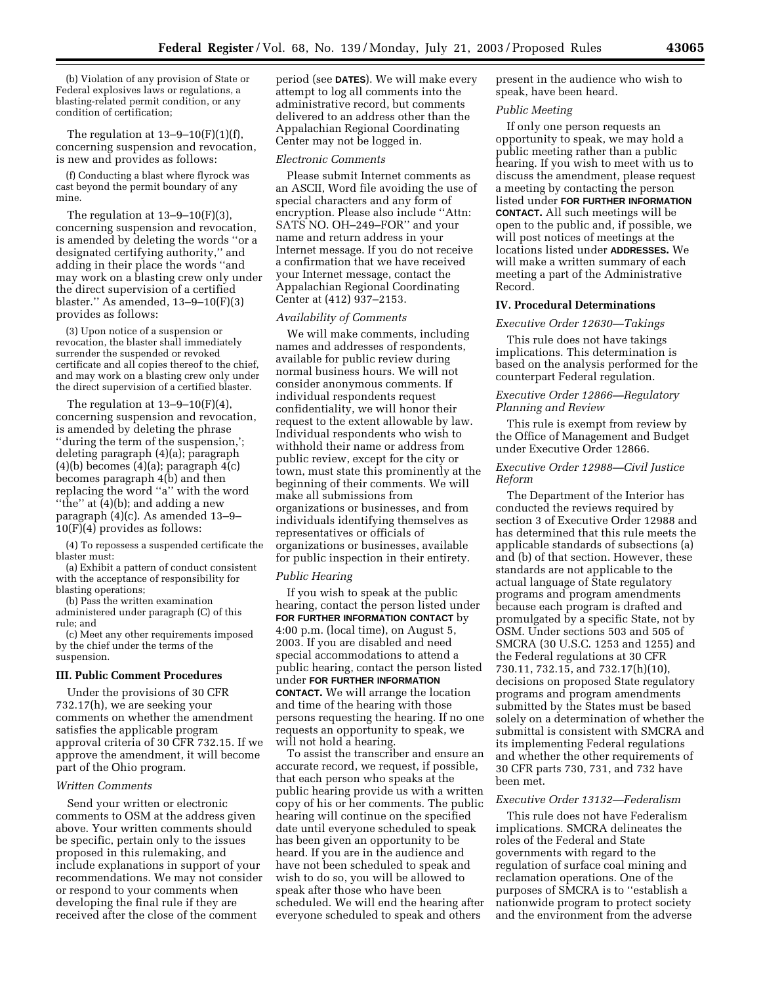(b) Violation of any provision of State or Federal explosives laws or regulations, a blasting-related permit condition, or any condition of certification;

The regulation at  $13-9-10(F)(1)(f)$ , concerning suspension and revocation, is new and provides as follows:

(f) Conducting a blast where flyrock was cast beyond the permit boundary of any mine.

The regulation at 13–9–10(F)(3), concerning suspension and revocation, is amended by deleting the words ''or a designated certifying authority,'' and adding in their place the words ''and may work on a blasting crew only under the direct supervision of a certified blaster.'' As amended, 13–9–10(F)(3) provides as follows:

(3) Upon notice of a suspension or revocation, the blaster shall immediately surrender the suspended or revoked certificate and all copies thereof to the chief, and may work on a blasting crew only under the direct supervision of a certified blaster.

The regulation at  $13-9-10(F)(4)$ , concerning suspension and revocation, is amended by deleting the phrase ''during the term of the suspension,'; deleting paragraph (4)(a); paragraph  $(4)(b)$  becomes  $(4)(a)$ ; paragraph  $4(c)$ becomes paragraph 4(b) and then replacing the word ''a'' with the word ''the'' at (4)(b); and adding a new paragraph (4)(c). As amended 13–9– 10(F)(4) provides as follows:

(4) To repossess a suspended certificate the blaster must:

(a) Exhibit a pattern of conduct consistent with the acceptance of responsibility for blasting operations;

(b) Pass the written examination administered under paragraph (C) of this rule; and

(c) Meet any other requirements imposed by the chief under the terms of the suspension.

### **III. Public Comment Procedures**

Under the provisions of 30 CFR 732.17(h), we are seeking your comments on whether the amendment satisfies the applicable program approval criteria of 30 CFR 732.15. If we approve the amendment, it will become part of the Ohio program.

#### *Written Comments*

Send your written or electronic comments to OSM at the address given above. Your written comments should be specific, pertain only to the issues proposed in this rulemaking, and include explanations in support of your recommendations. We may not consider or respond to your comments when developing the final rule if they are received after the close of the comment

period (see **DATES**). We will make every attempt to log all comments into the administrative record, but comments delivered to an address other than the Appalachian Regional Coordinating Center may not be logged in.

#### *Electronic Comments*

Please submit Internet comments as an ASCII, Word file avoiding the use of special characters and any form of encryption. Please also include ''Attn: SATS NO. OH–249–FOR'' and your name and return address in your Internet message. If you do not receive a confirmation that we have received your Internet message, contact the Appalachian Regional Coordinating Center at (412) 937–2153.

#### *Availability of Comments*

We will make comments, including names and addresses of respondents, available for public review during normal business hours. We will not consider anonymous comments. If individual respondents request confidentiality, we will honor their request to the extent allowable by law. Individual respondents who wish to withhold their name or address from public review, except for the city or town, must state this prominently at the beginning of their comments. We will make all submissions from organizations or businesses, and from individuals identifying themselves as representatives or officials of organizations or businesses, available for public inspection in their entirety.

#### *Public Hearing*

If you wish to speak at the public hearing, contact the person listed under **FOR FURTHER INFORMATION CONTACT** by 4:00 p.m. (local time), on August 5, 2003. If you are disabled and need special accommodations to attend a public hearing, contact the person listed under **FOR FURTHER INFORMATION CONTACT.** We will arrange the location and time of the hearing with those persons requesting the hearing. If no one requests an opportunity to speak, we will not hold a hearing.

To assist the transcriber and ensure an accurate record, we request, if possible, that each person who speaks at the public hearing provide us with a written copy of his or her comments. The public hearing will continue on the specified date until everyone scheduled to speak has been given an opportunity to be heard. If you are in the audience and have not been scheduled to speak and wish to do so, you will be allowed to speak after those who have been scheduled. We will end the hearing after everyone scheduled to speak and others

present in the audience who wish to speak, have been heard.

### *Public Meeting*

If only one person requests an opportunity to speak, we may hold a public meeting rather than a public hearing. If you wish to meet with us to discuss the amendment, please request a meeting by contacting the person listed under **FOR FURTHER INFORMATION CONTACT.** All such meetings will be open to the public and, if possible, we will post notices of meetings at the locations listed under **ADDRESSES.** We will make a written summary of each meeting a part of the Administrative Record.

# **IV. Procedural Determinations**

#### *Executive Order 12630—Takings*

This rule does not have takings implications. This determination is based on the analysis performed for the counterpart Federal regulation.

## *Executive Order 12866—Regulatory Planning and Review*

This rule is exempt from review by the Office of Management and Budget under Executive Order 12866.

### *Executive Order 12988—Civil Justice Reform*

The Department of the Interior has conducted the reviews required by section 3 of Executive Order 12988 and has determined that this rule meets the applicable standards of subsections (a) and (b) of that section. However, these standards are not applicable to the actual language of State regulatory programs and program amendments because each program is drafted and promulgated by a specific State, not by OSM. Under sections 503 and 505 of SMCRA (30 U.S.C. 1253 and 1255) and the Federal regulations at 30 CFR 730.11, 732.15, and 732.17(h)(10), decisions on proposed State regulatory programs and program amendments submitted by the States must be based solely on a determination of whether the submittal is consistent with SMCRA and its implementing Federal regulations and whether the other requirements of 30 CFR parts 730, 731, and 732 have been met.

### *Executive Order 13132—Federalism*

This rule does not have Federalism implications. SMCRA delineates the roles of the Federal and State governments with regard to the regulation of surface coal mining and reclamation operations. One of the purposes of SMCRA is to ''establish a nationwide program to protect society and the environment from the adverse